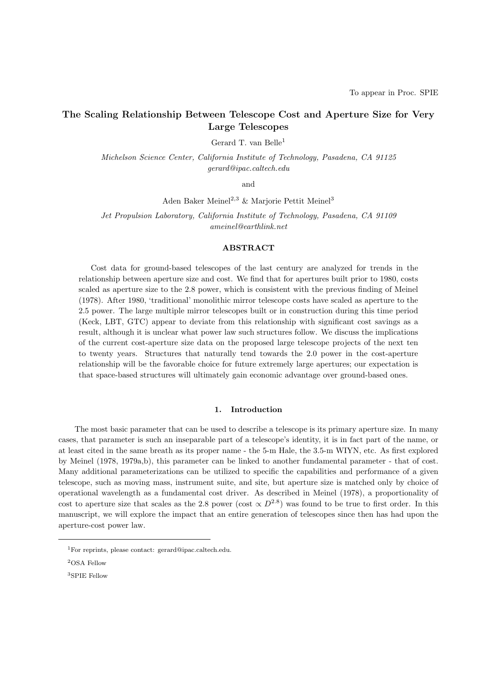# The Scaling Relationship Between Telescope Cost and Aperture Size for Very Large Telescopes

Gerard T. van Belle<sup>1</sup>

Michelson Science Center, California Institute of Technology, Pasadena, CA 91125 gerard@ipac.caltech.edu

and

Aden Baker Meinel<sup>2,3</sup> & Marjorie Pettit Meinel<sup>3</sup>

Jet Propulsion Laboratory, California Institute of Technology, Pasadena, CA 91109 ameinel@earthlink.net

## ABSTRACT

Cost data for ground-based telescopes of the last century are analyzed for trends in the relationship between aperture size and cost. We find that for apertures built prior to 1980, costs scaled as aperture size to the 2.8 power, which is consistent with the previous finding of Meinel (1978). After 1980, 'traditional' monolithic mirror telescope costs have scaled as aperture to the 2.5 power. The large multiple mirror telescopes built or in construction during this time period (Keck, LBT, GTC) appear to deviate from this relationship with significant cost savings as a result, although it is unclear what power law such structures follow. We discuss the implications of the current cost-aperture size data on the proposed large telescope projects of the next ten to twenty years. Structures that naturally tend towards the 2.0 power in the cost-aperture relationship will be the favorable choice for future extremely large apertures; our expectation is that space-based structures will ultimately gain economic advantage over ground-based ones.

#### 1. Introduction

The most basic parameter that can be used to describe a telescope is its primary aperture size. In many cases, that parameter is such an inseparable part of a telescope's identity, it is in fact part of the name, or at least cited in the same breath as its proper name - the 5-m Hale, the 3.5-m WIYN, etc. As first explored by Meinel (1978, 1979a,b), this parameter can be linked to another fundamental parameter - that of cost. Many additional parameterizations can be utilized to specific the capabilities and performance of a given telescope, such as moving mass, instrument suite, and site, but aperture size is matched only by choice of operational wavelength as a fundamental cost driver. As described in Meinel (1978), a proportionality of cost to aperture size that scales as the 2.8 power (cost  $\propto D^{2.8}$ ) was found to be true to first order. In this manuscript, we will explore the impact that an entire generation of telescopes since then has had upon the aperture-cost power law.

<sup>1</sup>For reprints, please contact: gerard@ipac.caltech.edu.

<sup>2</sup>OSA Fellow

<sup>3</sup>SPIE Fellow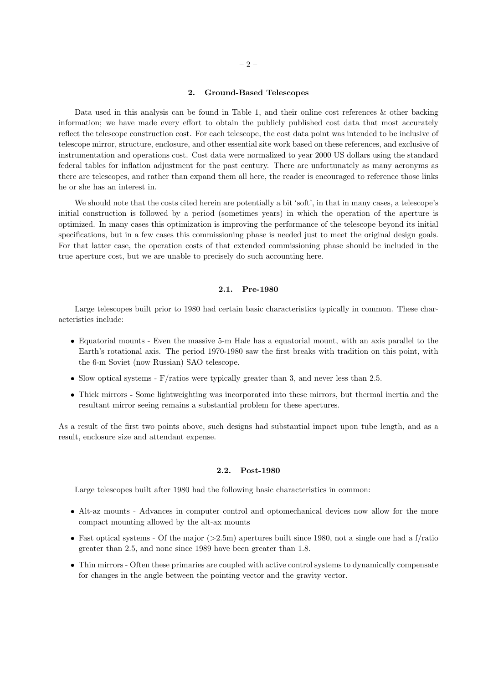#### 2. Ground-Based Telescopes

Data used in this analysis can be found in Table 1, and their online cost references & other backing information; we have made every effort to obtain the publicly published cost data that most accurately reflect the telescope construction cost. For each telescope, the cost data point was intended to be inclusive of telescope mirror, structure, enclosure, and other essential site work based on these references, and exclusive of instrumentation and operations cost. Cost data were normalized to year 2000 US dollars using the standard federal tables for inflation adjustment for the past century. There are unfortunately as many acronyms as there are telescopes, and rather than expand them all here, the reader is encouraged to reference those links he or she has an interest in.

We should note that the costs cited herein are potentially a bit 'soft', in that in many cases, a telescope's initial construction is followed by a period (sometimes years) in which the operation of the aperture is optimized. In many cases this optimization is improving the performance of the telescope beyond its initial specifications, but in a few cases this commissioning phase is needed just to meet the original design goals. For that latter case, the operation costs of that extended commissioning phase should be included in the true aperture cost, but we are unable to precisely do such accounting here.

# 2.1. Pre-1980

Large telescopes built prior to 1980 had certain basic characteristics typically in common. These characteristics include:

- Equatorial mounts Even the massive 5-m Hale has a equatorial mount, with an axis parallel to the Earth's rotational axis. The period 1970-1980 saw the first breaks with tradition on this point, with the 6-m Soviet (now Russian) SAO telescope.
- Slow optical systems  $F/\text{ratios}$  were typically greater than 3, and never less than 2.5.
- Thick mirrors Some lightweighting was incorporated into these mirrors, but thermal inertia and the resultant mirror seeing remains a substantial problem for these apertures.

As a result of the first two points above, such designs had substantial impact upon tube length, and as a result, enclosure size and attendant expense.

#### 2.2. Post-1980

Large telescopes built after 1980 had the following basic characteristics in common:

- Alt-az mounts Advances in computer control and optomechanical devices now allow for the more compact mounting allowed by the alt-ax mounts
- Fast optical systems Of the major  $(>2.5m)$  apertures built since 1980, not a single one had a f/ratio greater than 2.5, and none since 1989 have been greater than 1.8.
- Thin mirrors Often these primaries are coupled with active control systems to dynamically compensate for changes in the angle between the pointing vector and the gravity vector.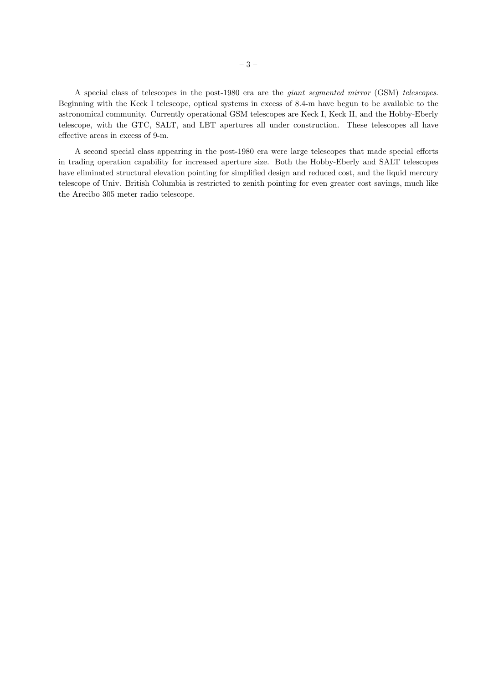A special class of telescopes in the post-1980 era are the giant segmented mirror (GSM) telescopes. Beginning with the Keck I telescope, optical systems in excess of 8.4-m have begun to be available to the astronomical community. Currently operational GSM telescopes are Keck I, Keck II, and the Hobby-Eberly telescope, with the GTC, SALT, and LBT apertures all under construction. These telescopes all have effective areas in excess of 9-m.

A second special class appearing in the post-1980 era were large telescopes that made special efforts in trading operation capability for increased aperture size. Both the Hobby-Eberly and SALT telescopes have eliminated structural elevation pointing for simplified design and reduced cost, and the liquid mercury telescope of Univ. British Columbia is restricted to zenith pointing for even greater cost savings, much like the Arecibo 305 meter radio telescope.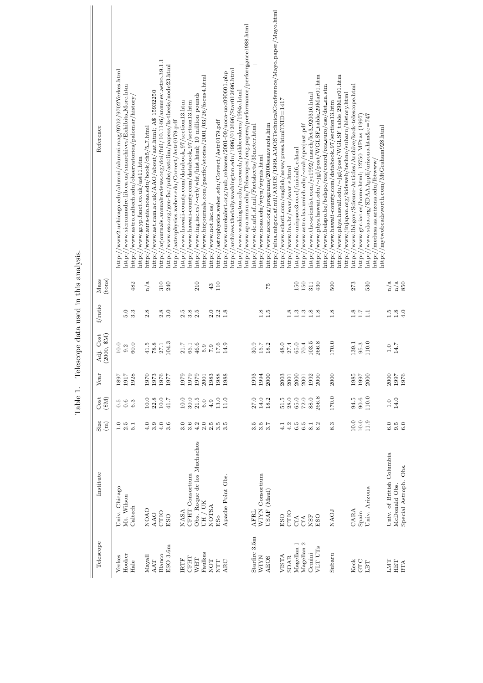| Telescope         | Institute                   | Size                                       | Cost                      | Year | Adj. Cost         | f/ratio                                   | Mass            | Reference                                                                                                   |
|-------------------|-----------------------------|--------------------------------------------|---------------------------|------|-------------------|-------------------------------------------|-----------------|-------------------------------------------------------------------------------------------------------------|
|                   |                             | $\binom{m}{n}$                             | (3M)                      |      | (2000, \$M]       |                                           | $(\text{tons})$ |                                                                                                             |
| Yerkes            | Univ. Chicago               |                                            | $\ddot{0} \cdot \ddot{0}$ | 1887 | 10.0              |                                           |                 | /www2.uchicago.edu/alumni/alumni.mag/9702/9702Yerkes.html<br>attp://                                        |
| Hooker            | Mt. Wilson                  | $\frac{0}{2}$ 5                            | $0.\overline{6}$          | 1917 | 9.2               | 5.0                                       |                 | $\Delta$ http://www.sierramadre.lib.ca.us/smarchives/Exhibits_More.htm                                      |
| Hale              | Caltech                     | $\overline{5}$ .1                          | 6.3                       | 1928 | $60.0$            | $3.\overline{3}$                          | 482             | www.astro.caltech.edu/observatories/palomar/history,<br>http:/                                              |
|                   |                             |                                            |                           |      |                   |                                           |                 | www.gryp.fsnet.co.uk/ast11.htm<br>http://                                                                   |
| Mayall            | <b>NOAO</b>                 | 4.0                                        | 10.0                      | 0261 | 41.5              | 2.8                                       | n/a             | /www.aura-nio.noao.edu/book/ch5/5_7.html<br>http://                                                         |
| AAT               | AAO                         | 3.9                                        | 22.8                      | 1973 | 78.8              |                                           |                 | www.ast.cam.ac.uk/AAO/about/aat.html; A\$ 15932250<br>http://                                               |
| Blanco            | CTIO                        | 4.0                                        | $10.0$                    | 1976 | 27.1              | 2.8                                       | 310             | 'arjournals.annualreviews.org/doi/full/10.1146/annurev.astro.39.1.1<br>http://                              |
| ESO 3.6m          | <b>ESO</b>                  | 3.6                                        | 41.7                      | 1761 | 104.3             | 3.0                                       | 240             | /www.eso.org/gen-fac/pubs/astclim/papers/lz-thesis/node23.html<br>http://j                                  |
|                   |                             |                                            |                           |      |                   |                                           |                 | 'astrophysics.weber.edu/Correct/Astr0179.pdf<br>http:/                                                      |
| IRTF              | <b>NASA</b>                 | 3.0                                        | 10.0                      | 1979 | 21.7              |                                           |                 | www.hawaii-county.com/databook_97/section13.htm<br>http://j                                                 |
| CFHT              | CFHT Consortium             | 3.6                                        | 30.0                      | 1979 | 65.1              | 2.305<br>2.305                            |                 | www.hawaii-county.com/databook_97/section13.htm<br>http://                                                  |
| <b>WHT</b>        | Obs. Roque de los Muchachos | 4.2                                        | 21.5                      | 1979 | 46.6              |                                           | 210             | /www.ing.iac.es/ $\sim$ crb/wht/hist.html; 10 million pounds<br>http://                                     |
| Faulkes           | UH / UK                     | 2.0                                        | $6.0\,$                   | 2001 | 5.9               |                                           |                 | /www.bizjournals.com/pacific/stories/2001/03/26/focus4.html<br>http:/                                       |
| NOT               | <b>NOTSA</b>                | ro<br>$\sim$                               | $4.9$                     | 1983 | $\overline{7}$ .9 |                                           | 43              | www.not.iac.es/<br>http://                                                                                  |
| <b>NTT</b>        | ES <sub>o</sub>             | $\begin{array}{c} 5 \\ 3 \\ 3 \end{array}$ | 13.0                      | 1988 | 17.6              | $0.28$<br>$2.36$<br>$-1.8$                | 110             | /astrophysics.weber.edu/Correct/Astr0179.pdf<br>http://j                                                    |
| ARC               | Apache Point Obs.           |                                            | 11.0                      | 1988 | 14.9              |                                           |                 | www.eurekalert.org/pub_releases/2001-09/uoca-uoc090601.php<br>http://                                       |
|                   |                             |                                            |                           |      |                   |                                           |                 | 'archives.thedaily.washington.edu/1996/012696/Star012696.html<br>$\text{http://}$                           |
|                   |                             |                                            |                           |      |                   |                                           |                 | www.washington.edu/research/pathbreakers/1994c.html<br>http:/                                               |
|                   |                             |                                            |                           |      |                   |                                           |                 | www.apo.nmsu.edu/Telescopes/eng.papers/performance/performance1988.html<br>http://                          |
| Starfire 3.5m     | AFRL                        | 5.5                                        | 27.0                      | 1993 | 30.9              |                                           |                 | www.de.afrl.af.mil/Factsheets/35meter.html<br>http://j                                                      |
| <b>NAIN</b>       | WIYN Consortium             | $\begin{array}{c} 5.7 \\ 3.7 \end{array}$  | 14.0                      | 1994 | 15.7              | $1.5$<br>$1.5$                            |                 | www.noao.edu/wiyn/wiynis.html<br>http:/                                                                     |
| <b>AEOS</b>       | USAF (Maui)                 |                                            | 18.2                      | 2000 | 18.2              |                                           | 75              | /www.acec.org/programs/2000eeaawards.htm<br>http://                                                         |
|                   |                             |                                            |                           |      |                   |                                           |                 | /ulua.mhpcc.af.mil/AMOS/1999_AMOSTechnicalConference/Mayo_paper/Mayo.html<br>$\text{http://}$               |
| <b>VISTA</b>      | <b>ESO</b>                  | $\frac{1}{4}$                              | 51.5                      | 2003 | 48.0              |                                           |                 | www.schott.com/english/news/press.html?NID=1417<br>http:/                                                   |
| <b>SOAR</b>       | CTIO                        | 4.2                                        | 28.0                      | 2001 | 27.4              | $1.8\,$                                   |                 | /www.lna.br/soar/soar_e.html<br>http://j                                                                    |
| Magellan 1        | CfA                         | $6.\overline{5}$                           | 65.0                      | 2000 | 65.0              | $1.3\,$                                   | 150             | www.unispace3.co.cl/inicial6_e.html<br>http://                                                              |
| Magellan 2        | CEA                         | $6.5\,$                                    | 72.0                      | 2001 | 70.4              | $1.3\,$                                   | 150             | 'www.astro.lsa.umich.edu/~rab/specjust.pdf<br>$\frac{\text{http://hittip:}}{}$                              |
| Gemini            | NSF                         | $8.1\,$                                    | 88.0                      | 1992 | 103.5             | $\begin{array}{c} 2.8 \\ 1.8 \end{array}$ | 311             | http://www.the-scientist.com/yr1992/march/let3_920316.html                                                  |
| VLT UTS           | <b>ESO</b>                  | 8.2                                        | 266.8                     | 2000 | 266.8             |                                           | 430             | www.phys.hawaii.edu/ $\sim$ jgl/post/WGLSF_table_29Mar01.htm<br>http:/                                      |
|                   |                             |                                            |                           |      |                   |                                           |                 | www.belspo.be/belspo/res/coord/res_euro/eso/det_en.stm<br>http://                                           |
| Subaru            | <b>NAOJ</b>                 | 8.3                                        | 170.0                     | 2000 | 170.0             | 1.8                                       | 500             | www.hawaii-county.com/databook_97/section13.htm<br>attp://                                                  |
|                   |                             |                                            |                           |      |                   |                                           |                 | www.phys.hawaii.edu/ $\sim$ jgl/post/WGLSF_table_29Mar01.htm<br>$\mathrm{http://}$                          |
|                   |                             |                                            |                           |      |                   |                                           |                 | www.jinjapan.org/kidsweb/techno/subaru/history.html<br>http:/                                               |
| Keck              | CARA                        | $10.0$                                     | 94.5                      | 1985 | 139.1             |                                           | 273             | www.lbl.gov/Science-Articles/Archive/keck-telescope.html<br>attp:/                                          |
| <b>GTC</b><br>LBT | Spain                       | $10.0$                                     | 90.6                      | 1997 | 95.3              | $\frac{3}{1}$ .7                          |                 | www.gtc.iac.es/home.html; 12750 MPtas (1997)<br>http://                                                     |
|                   | Univ. Arizona               | 11.9                                       | 110.0                     | 2000 | 110.0             | 1.1                                       | 530             | 'www.sdaa.org/SDAAAppli/arizona.htm&e=747<br>http:/                                                         |
|                   |                             |                                            |                           |      |                   |                                           |                 | $\frac{1}{2}$ http://mytwobeadsworth.com/MtGraham928.html<br>/medusa.as.arizona.edu/lbtwww<br>$\frac{h}{h}$ |
| LMT               | Univ. of British Columbia   | 6.0                                        | $\overline{1.0}$          | 2000 | 1.0               | 1.5                                       | n/a             |                                                                                                             |
| HET               | McDonald Obs.               | 9.5                                        | 14.0                      | 1997 | 14.7              |                                           |                 |                                                                                                             |
| <b>BTA</b>        | Special Astroph. Obs.       | 6.0                                        |                           | 1976 |                   | $\begin{array}{c} 1.8 \\ 4.0 \end{array}$ | n/a<br>850      |                                                                                                             |
|                   |                             |                                            |                           |      |                   |                                           |                 |                                                                                                             |

Table 1. Telescope data used in this analysis. Table 1. Telescope data used in this analysis.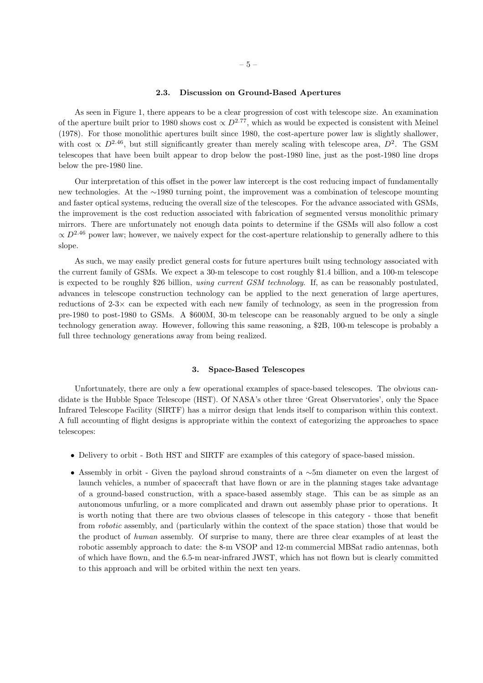#### 2.3. Discussion on Ground-Based Apertures

As seen in Figure 1, there appears to be a clear progression of cost with telescope size. An examination of the aperture built prior to 1980 shows cost  $\propto D^{2.77}$ , which as would be expected is consistent with Meinel (1978). For those monolithic apertures built since 1980, the cost-aperture power law is slightly shallower, with cost  $\propto D^{2.46}$ , but still significantly greater than merely scaling with telescope area,  $D^2$ . The GSM telescopes that have been built appear to drop below the post-1980 line, just as the post-1980 line drops below the pre-1980 line.

Our interpretation of this offset in the power law intercept is the cost reducing impact of fundamentally new technologies. At the ∼1980 turning point, the improvement was a combination of telescope mounting and faster optical systems, reducing the overall size of the telescopes. For the advance associated with GSMs, the improvement is the cost reduction associated with fabrication of segmented versus monolithic primary mirrors. There are unfortunately not enough data points to determine if the GSMs will also follow a cost  $\propto D^{2.46}$  power law; however, we naively expect for the cost-aperture relationship to generally adhere to this slope.

As such, we may easily predict general costs for future apertures built using technology associated with the current family of GSMs. We expect a 30-m telescope to cost roughly \$1.4 billion, and a 100-m telescope is expected to be roughly \$26 billion, using current GSM technology. If, as can be reasonably postulated, advances in telescope construction technology can be applied to the next generation of large apertures, reductions of  $2-3\times$  can be expected with each new family of technology, as seen in the progression from pre-1980 to post-1980 to GSMs. A \$600M, 30-m telescope can be reasonably argued to be only a single technology generation away. However, following this same reasoning, a \$2B, 100-m telescope is probably a full three technology generations away from being realized.

#### 3. Space-Based Telescopes

Unfortunately, there are only a few operational examples of space-based telescopes. The obvious candidate is the Hubble Space Telescope (HST). Of NASA's other three 'Great Observatories', only the Space Infrared Telescope Facility (SIRTF) has a mirror design that lends itself to comparison within this context. A full accounting of flight designs is appropriate within the context of categorizing the approaches to space telescopes:

- Delivery to orbit Both HST and SIRTF are examples of this category of space-based mission.
- Assembly in orbit Given the payload shroud constraints of a ∼5m diameter on even the largest of launch vehicles, a number of spacecraft that have flown or are in the planning stages take advantage of a ground-based construction, with a space-based assembly stage. This can be as simple as an autonomous unfurling, or a more complicated and drawn out assembly phase prior to operations. It is worth noting that there are two obvious classes of telescope in this category - those that benefit from robotic assembly, and (particularly within the context of the space station) those that would be the product of human assembly. Of surprise to many, there are three clear examples of at least the robotic assembly approach to date: the 8-m VSOP and 12-m commercial MBSat radio antennas, both of which have flown, and the 6.5-m near-infrared JWST, which has not flown but is clearly committed to this approach and will be orbited within the next ten years.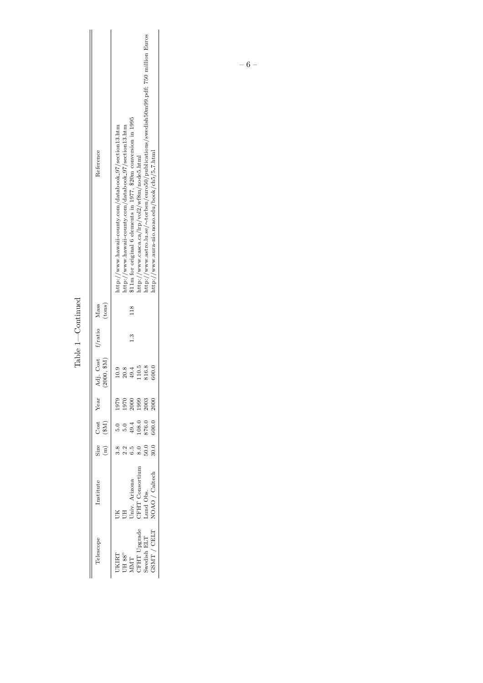| Reference                             | ${\rm http://www.hawaii-county.com/databook_97/section13.htm}$ | ${\rm http://www.hawaii-county.com/databook_97/section13.htm}$ | \$11m for original 6 elements in 1977, \$20m conversion in 1995 | nttp://www.casca.ca/lrp/vol2/wf8m/node5.html                                                                                                                                                                                                                                                                                              | nttp://www.astro.lu.se/~torben/euro50/publications/swedish50m99.pdf; 750 million Euros | http://www.aura-nio.noao.edu/book/ch5/5_7.html |
|---------------------------------------|----------------------------------------------------------------|----------------------------------------------------------------|-----------------------------------------------------------------|-------------------------------------------------------------------------------------------------------------------------------------------------------------------------------------------------------------------------------------------------------------------------------------------------------------------------------------------|----------------------------------------------------------------------------------------|------------------------------------------------|
| $(\text{tons})$                       |                                                                |                                                                | 118                                                             |                                                                                                                                                                                                                                                                                                                                           |                                                                                        |                                                |
|                                       |                                                                |                                                                | م.<br>ا                                                         |                                                                                                                                                                                                                                                                                                                                           |                                                                                        |                                                |
| Adj. Cost f/ratio Mass<br>(2000, \$M) | 10.9                                                           | 20.8                                                           | 49.4                                                            | 110.5                                                                                                                                                                                                                                                                                                                                     | 816.8                                                                                  | 600.0                                          |
| Year                                  |                                                                |                                                                |                                                                 |                                                                                                                                                                                                                                                                                                                                           |                                                                                        |                                                |
| $\frac{\text{Cost}}{\text{(SM)}}$     |                                                                |                                                                |                                                                 | $\begin{smallmatrix} 0 & 0 & 0 \\ 0 & 0 & 4 \\ 0 & 0 & 0 \\ 0 & 0 & 0 \\ 0 & 0 & 0 \\ 0 & 0 & 0 \\ 0 & 0 & 0 \\ 0 & 0 & 0 \\ 0 & 0 & 0 \\ 0 & 0 & 0 \\ 0 & 0 & 0 \\ 0 & 0 & 0 \\ 0 & 0 & 0 \\ 0 & 0 & 0 \\ 0 & 0 & 0 \\ 0 & 0 & 0 \\ 0 & 0 & 0 \\ 0 & 0 & 0 \\ 0 & 0 & 0 \\ 0 & 0 & 0 \\ 0 & 0 & 0 \\ 0 & 0 & 0 \\ 0 & 0 & 0 & 0 \\ 0 & $ |                                                                                        |                                                |
| $rac{1}{2}$<br>$\frac{1}{2}$          | 3.8                                                            |                                                                |                                                                 |                                                                                                                                                                                                                                                                                                                                           |                                                                                        |                                                |
| Institute                             |                                                                | $\mathbb{H}$                                                   | Jniv. Arizona                                                   | CFHT Consortium<br>Lund Obs.                                                                                                                                                                                                                                                                                                              |                                                                                        | NOAO / Caltech                                 |
|                                       |                                                                |                                                                |                                                                 |                                                                                                                                                                                                                                                                                                                                           | UKIRT<br>UH 88"<br>MMT<br>CFHT Upgrade<br>CFHT Upgrade                                 | <b>GRIT / CELT</b>                             |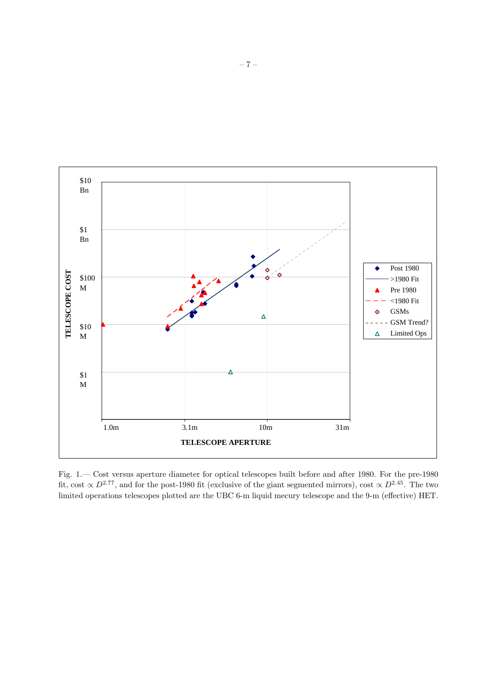

Fig. 1.— Cost versus aperture diameter for optical telescopes built before and after 1980. For the pre-1980 fit, cost ∝  $D^{2.77}$ , and for the post-1980 fit (exclusive of the giant segmented mirrors), cost ∝  $D^{2.45}$ . The two limited operations telescopes plotted are the UBC 6-m liquid mecury telescope and the 9-m (effective) HET.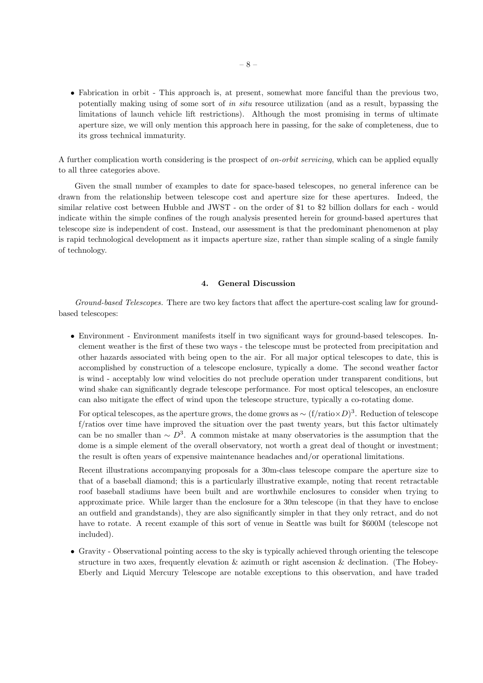• Fabrication in orbit - This approach is, at present, somewhat more fanciful than the previous two, potentially making using of some sort of in situ resource utilization (and as a result, bypassing the limitations of launch vehicle lift restrictions). Although the most promising in terms of ultimate aperture size, we will only mention this approach here in passing, for the sake of completeness, due to its gross technical immaturity.

A further complication worth considering is the prospect of on-orbit servicing, which can be applied equally to all three categories above.

Given the small number of examples to date for space-based telescopes, no general inference can be drawn from the relationship between telescope cost and aperture size for these apertures. Indeed, the similar relative cost between Hubble and JWST - on the order of \$1 to \$2 billion dollars for each - would indicate within the simple confines of the rough analysis presented herein for ground-based apertures that telescope size is independent of cost. Instead, our assessment is that the predominant phenomenon at play is rapid technological development as it impacts aperture size, rather than simple scaling of a single family of technology.

# 4. General Discussion

Ground-based Telescopes. There are two key factors that affect the aperture-cost scaling law for groundbased telescopes:

• Environment - Environment manifests itself in two significant ways for ground-based telescopes. Inclement weather is the first of these two ways - the telescope must be protected from precipitation and other hazards associated with being open to the air. For all major optical telescopes to date, this is accomplished by construction of a telescope enclosure, typically a dome. The second weather factor is wind - acceptably low wind velocities do not preclude operation under transparent conditions, but wind shake can significantly degrade telescope performance. For most optical telescopes, an enclosure can also mitigate the effect of wind upon the telescope structure, typically a co-rotating dome.

For optical telescopes, as the aperture grows, the dome grows as  $\sim (f/\text{ratio}\times D)^3$ . Reduction of telescope f/ratios over time have improved the situation over the past twenty years, but this factor ultimately can be no smaller than  $\sim D^3$ . A common mistake at many observatories is the assumption that the dome is a simple element of the overall observatory, not worth a great deal of thought or investment; the result is often years of expensive maintenance headaches and/or operational limitations.

Recent illustrations accompanying proposals for a 30m-class telescope compare the aperture size to that of a baseball diamond; this is a particularly illustrative example, noting that recent retractable roof baseball stadiums have been built and are worthwhile enclosures to consider when trying to approximate price. While larger than the enclosure for a 30m telescope (in that they have to enclose an outfield and grandstands), they are also significantly simpler in that they only retract, and do not have to rotate. A recent example of this sort of venue in Seattle was built for \$600M (telescope not included).

• Gravity - Observational pointing access to the sky is typically achieved through orienting the telescope structure in two axes, frequently elevation  $\&$  azimuth or right ascension  $\&$  declination. (The Hobey-Eberly and Liquid Mercury Telescope are notable exceptions to this observation, and have traded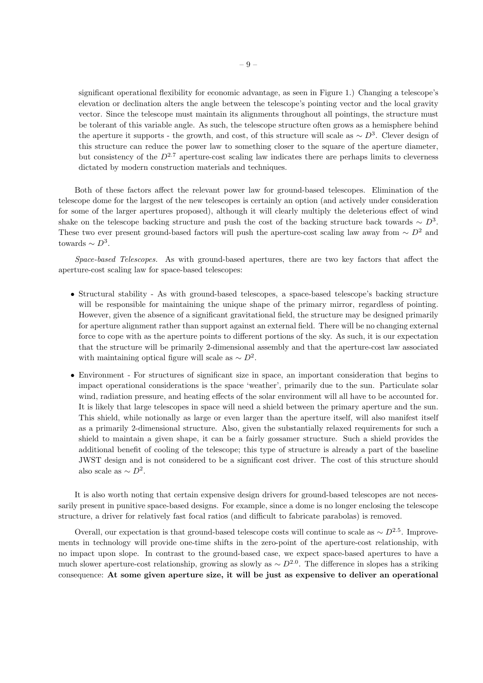significant operational flexibility for economic advantage, as seen in Figure 1.) Changing a telescope's elevation or declination alters the angle between the telescope's pointing vector and the local gravity vector. Since the telescope must maintain its alignments throughout all pointings, the structure must be tolerant of this variable angle. As such, the telescope structure often grows as a hemisphere behind the aperture it supports - the growth, and cost, of this structure will scale as  $\sim D^3$ . Clever design of this structure can reduce the power law to something closer to the square of the aperture diameter, but consistency of the  $D^{2.7}$  aperture-cost scaling law indicates there are perhaps limits to cleverness dictated by modern construction materials and techniques.

Both of these factors affect the relevant power law for ground-based telescopes. Elimination of the telescope dome for the largest of the new telescopes is certainly an option (and actively under consideration for some of the larger apertures proposed), although it will clearly multiply the deleterious effect of wind shake on the telescope backing structure and push the cost of the backing structure back towards  $\sim D^3$ . These two ever present ground-based factors will push the aperture-cost scaling law away from  $\sim D^2$  and towards  $\sim D^3$ .

Space-based Telescopes. As with ground-based apertures, there are two key factors that affect the aperture-cost scaling law for space-based telescopes:

- Structural stability As with ground-based telescopes, a space-based telescope's backing structure will be responsible for maintaining the unique shape of the primary mirror, regardless of pointing. However, given the absence of a significant gravitational field, the structure may be designed primarily for aperture alignment rather than support against an external field. There will be no changing external force to cope with as the aperture points to different portions of the sky. As such, it is our expectation that the structure will be primarily 2-dimensional assembly and that the aperture-cost law associated with maintaining optical figure will scale as  $\sim D^2$ .
- Environment For structures of significant size in space, an important consideration that begins to impact operational considerations is the space 'weather', primarily due to the sun. Particulate solar wind, radiation pressure, and heating effects of the solar environment will all have to be accounted for. It is likely that large telescopes in space will need a shield between the primary aperture and the sun. This shield, while notionally as large or even larger than the aperture itself, will also manifest itself as a primarily 2-dimensional structure. Also, given the substantially relaxed requirements for such a shield to maintain a given shape, it can be a fairly gossamer structure. Such a shield provides the additional benefit of cooling of the telescope; this type of structure is already a part of the baseline JWST design and is not considered to be a significant cost driver. The cost of this structure should also scale as  $\sim D^2$ .

It is also worth noting that certain expensive design drivers for ground-based telescopes are not necessarily present in punitive space-based designs. For example, since a dome is no longer enclosing the telescope structure, a driver for relatively fast focal ratios (and difficult to fabricate parabolas) is removed.

Overall, our expectation is that ground-based telescope costs will continue to scale as  $\sim D^{2.5}$ . Improvements in technology will provide one-time shifts in the zero-point of the aperture-cost relationship, with no impact upon slope. In contrast to the ground-based case, we expect space-based apertures to have a much slower aperture-cost relationship, growing as slowly as  $\sim D^{2.0}$ . The difference in slopes has a striking consequence: At some given aperture size, it will be just as expensive to deliver an operational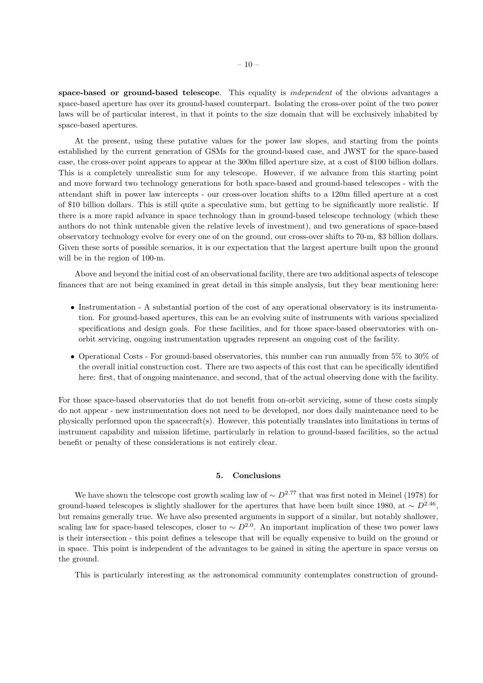space-based or ground-based telescope. This equality is *independent* of the obvious advantages a space-based aperture has over its ground-based counterpart. Isolating the cross-over point of the two power laws will be of particular interest, in that it points to the size domain that will be exclusively inhabited by space-based apertures.

At the present, using these putative values for the power law slopes, and starting from the points established by the current generation of GSMs for the ground-based case, and JWST for the space-based case, the cross-over point appears to appear at the 300m filled aperture size, at a cost of \$100 billion dollars. This is a completely unrealistic sum for any telescope. However, if we advance from this starting point and move forward two technology generations for both space-based and ground-based telescopes - with the attendant shift in power law intercepts - our cross-over location shifts to a 120m filled aperture at a cost of \$10 billion dollars. This is still quite a speculative sum, but getting to be significantly more realistic. If there is a more rapid advance in space technology than in ground-based telescope technology (which these authors do not think untenable given the relative levels of investment), and two generations of space-based observatory technology evolve for every one of on the ground, our cross-over shifts to 70-m, \$3 billion dollars. Given these sorts of possible scenarios, it is our expectation that the largest aperture built upon the ground will be in the region of 100-m.

Above and beyond the initial cost of an observational facility, there are two additional aspects of telescope finances that are not being examined in great detail in this simple analysis, but they bear mentioning here:

- Instrumentation A substantial portion of the cost of any operational observatory is its instrumentation. For ground-based apertures, this can be an evolving suite of instruments with various specialized specifications and design goals. For these facilities, and for those space-based observatories with onorbit servicing, ongoing instrumentation upgrades represent an ongoing cost of the facility.
- Operational Costs For ground-based observatories, this number can run annually from 5% to 30% of the overall initial construction cost. There are two aspects of this cost that can be specifically identified here: first, that of ongoing maintenance, and second, that of the actual observing done with the facility.

For those space-based observatories that do not benefit from on-orbit servicing, some of these costs simply do not appear - new instrumentation does not need to be developed, nor does daily maintenance need to be physically performed upon the spacecraft(s). However, this potentially translates into limitations in terms of instrument capability and mission lifetime, particularly in relation to ground-based facilities, so the actual benefit or penalty of these considerations is not entirely clear.

## 5. Conclusions

We have shown the telescope cost growth scaling law of  $\sim D^{2.77}$  that was first noted in Meinel (1978) for ground-based telescopes is slightly shallower for the apertures that have been built since 1980, at  $\sim D^{2.46}$ , but remains generally true. We have also presented arguments in support of a similar, but notably shallower, scaling law for space-based telescopes, closer to  $\sim D^{2.0}$ . An important implication of these two power laws is their intersection - this point defines a telescope that will be equally expensive to build on the ground or in space. This point is independent of the advantages to be gained in siting the aperture in space versus on the ground.

This is particularly interesting as the astronomical community contemplates construction of ground-